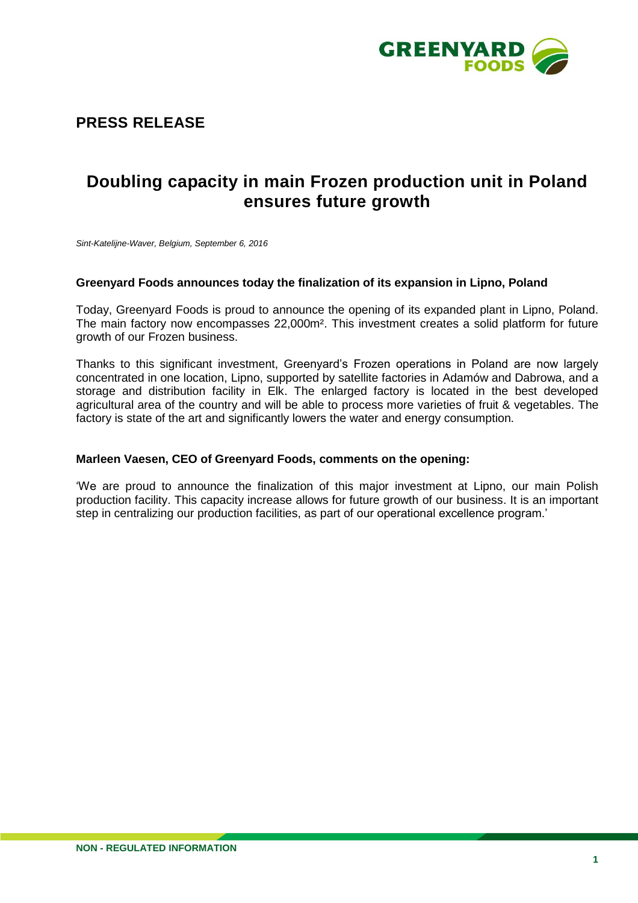

# **PRESS RELEASE**

# **Doubling capacity in main Frozen production unit in Poland ensures future growth**

*Sint-Katelijne-Waver, Belgium, September 6, 2016*

#### **Greenyard Foods announces today the finalization of its expansion in Lipno, Poland**

Today, Greenyard Foods is proud to announce the opening of its expanded plant in Lipno, Poland. The main factory now encompasses 22,000m². This investment creates a solid platform for future growth of our Frozen business.

Thanks to this significant investment, Greenyard's Frozen operations in Poland are now largely concentrated in one location, Lipno, supported by satellite factories in Adamów and Dabrowa, and a storage and distribution facility in Elk. The enlarged factory is located in the best developed agricultural area of the country and will be able to process more varieties of fruit & vegetables. The factory is state of the art and significantly lowers the water and energy consumption.

#### **Marleen Vaesen, CEO of Greenyard Foods, comments on the opening:**

'We are proud to announce the finalization of this major investment at Lipno, our main Polish production facility. This capacity increase allows for future growth of our business. It is an important step in centralizing our production facilities, as part of our operational excellence program.'